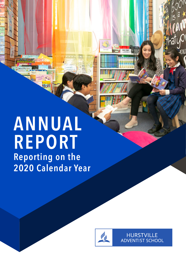# **ANNUAL REPORT Reporting on the 2020 Calendar Year**

Vol

ids



**HURSTVILLE ADVENTIST SCHOOL**  M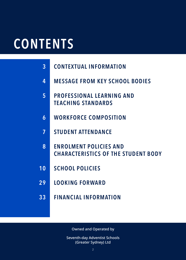# **CONTENTS**

| <b>CONTEXTUAL INFORMATION</b><br>$\overline{3}$ |
|-------------------------------------------------|
|-------------------------------------------------|

- **4 MESSAGE FROM KEY SCHOOL BODIES**
- **5 PROFESSIONAL LEARNING AND TEACHING STANDARDS**
- **6 WORKFORCE COMPOSITION**
- **7 STUDENT ATTENDANCE**
- **8 ENROLMENT POLICIES AND CHARACTERISTICS OF THE STUDENT BODY**
- **10 SCHOOL POLICIES**
- **29 LOOKING FORWARD**
- **33 FINANCIAL INFORMATION**

Owned and Operated by

Seventh-day Adventist Schools (Greater Sydney) Ltd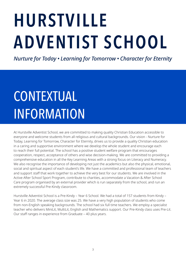# **HURSTVILLE ADVENTIST SCHOOL**

*Nurture for Today • Learning for Tomorrow • Character for Eternity*

# CONTEXTUAL INFORMATION

At Hurstville Adventist School, we are committed to making quality Christian Education accessible to everyone and welcome students from all religious and cultural backgrounds. Our vision - Nurture for Today, Learning for Tomorrow, Character for Eternity, drives us to provide a quality Christian education in a caring and supportive environment where we develop the whole student and encourage each to reach their full potential. The school has a positive student welfare program that encourages cooperation, respect, acceptance of others and wise decision-making. We are committed to providing a comprehensive education in all the Key Learning Areas with a strong focus on Literacy and Numeracy. We also recognise the importance of developing not just the academics but also the physical, emotional, social and spiritual aspect of each student's life. We have a committed and professional team of teachers and support staff that work together to achieve the very best for our students. We are involved in the Active After School Sport Program, contribute to charities, accommodate a Vacation & After School Care program organised by an external provider which is run separately from the school, and run an extremely successful Pre-Kindy classroom.

Hurstville Adventist School is a Pre-Kindy – Year 6 School. We had a total of 157 students from Kindy – Year 6 in 2020. The average class size was 25. We have a very high population of students who come from non-English speaking backgrounds. The school had six full time teachers. We employ a specialist teacher who delivers MiniLit, MultiLit, English and Mathematics support. Our Pre-Kindy class uses Pre-Lit. Our staff ranges in experience from Graduate – 40 plus years.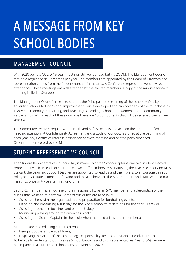# A MESSAGE FROM KEY SCHOOL BODIES

### MANAGEMENT COUNCIL

With 2020 being a COVID-19 year, meetings still went ahead but via ZOOM. The Management Council met on a regular basis – six times per year. The members are appointed by the Board of Directors and representation comes from the feeder churches in the area. A Conference representative is always in attendance. These meetings are well attended by the elected members. A copy of the minutes for each meeting is filed in Sharepoint.

The Management Council's role is to support the Principal in the running of the school. A Quality Adventist Schools Rolling School Improvement Plan is developed and can cover any of the four domains: 1. Adventist Identity; 2. Learning and Teaching; 3. Leading School Improvement and 4. Community Partnerships. Within each of these domains there are 15 Components that will be reviewed over a fiveyear cycle.

The Committee receives regular Work Health and Safety Reports and acts on the areas identified as needing attention. A Confidentiality Agreement and a Code of Conduct is signed at the beginning of each year. Any Conflict of Interest is disclosed at every meeting and related party disclosed. Other reports received by the Ma

## STUDENT REPRESENTATIVE COUNCIL

The Student Representative Council (SRC) is made up of the School Captains and two student elected representatives from each of Years 1 – 6. Two staff members, Miss Battistini, the Year 3 teacher and Miss Stewart, the Learning Support teacher are appointed to lead us and their role is to encourage us in our roles, help facilitate actions put forward and to liaise between the SRC members and staff. We hold our meetings once or twice a term at lunchtime.

Each SRC member has an outline of their responsibility as an SRC member and a description of the duties that we need to perform. Some of our duties are as follows:

- Assist teachers with the organisation and preparation for fundraising events;
- Planning and organising a 'fun day' for the whole school to raise funds for the Year 6 Farewell.
- Assisting teachers in bus lines and eat-lunch duty
- Monitoring playing around the amenities blocks
- Assisting the School Captains in their role when the need arises (older members)
- •

Members are elected using certain criteria:

- Being a good example at all times,
- Displaying the values of the school eg. Responsibility, Respect, Resilience, Ready to Learn.

To help us to understand our roles as School Captains and SRC Representatives (Year 5 &6), we were participants in a GRIP Leadership Course on March 3, 2020.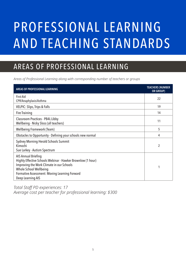# PROFESSIONAL LEARNING AND TEACHING STANDARDS

## AREAS OF PROFESSIONAL LEARNING

*Areas of Professional Learning along with corresponding number of teachers or groups*

| <b>AREAS OF PROFESSIONAL LEARINING</b>                                                                                                                                                                                                               | <b>TEACHERS (NUMBER</b><br>OR GROUP) |
|------------------------------------------------------------------------------------------------------------------------------------------------------------------------------------------------------------------------------------------------------|--------------------------------------|
| <b>First Aid</b><br>CPR/Anaphylaxis/Asthma                                                                                                                                                                                                           | 22                                   |
| <b>VELPIC: Slips, Trips &amp; Falls</b>                                                                                                                                                                                                              | 19                                   |
| <b>Fire Training</b>                                                                                                                                                                                                                                 | 14                                   |
| <b>Classroom Practices - PB4L Libby</b><br>Wellbeing - Nicky Sloss (all teachers)                                                                                                                                                                    | 11                                   |
| <b>Wellbeing Framework (Team)</b>                                                                                                                                                                                                                    | 5                                    |
| Obstacles to Opportunity - Defining your schools new normal                                                                                                                                                                                          | 4                                    |
| <b>Sydney Morning Herald Schools Summit</b><br>Kimochi<br>Sue Larkey - Autism Spectrum                                                                                                                                                               | 2                                    |
| <b>AIS Annual Briefing</b><br>Highly Effective Schools Webinar - Hawker Brownlow (1 hour)<br>Improving the Work Climate in our Schools<br><b>Whole School Wellbeing</b><br><b>Formative Assessment: Moving Learning Forward</b><br>Deep Learning AIS |                                      |

*Total Staff PD experiences: 17 Average cost per teacher for professional learning: \$300*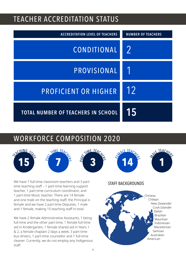## TEACHER ACCREDITATION STATUS

| <b>ACCREDITATION LEVEL OF TEACHERS</b>    | <b>NUMBER OF TEACHERS</b> |
|-------------------------------------------|---------------------------|
| CONDITIONAL                               | 2                         |
| PROVISIONAL                               |                           |
| <b>PROFICIENT OR HIGHER</b>               | 12                        |
| <b>TOTAL NUMBER OF TEACHERS IN SCHOOL</b> | 15                        |

## WORKFORCE COMPOSITION 2020



We have 7 full-time classroom teachers and 3 parttime teaching staff – 1 part-time learning support teacher, 1 part-time curriculum coordinator, and 1 part-time Music teacher. There are 14 female and one male on the teaching staff; the Principal is female and we have 2 part-time Deputies, 1 male and 1 female, making 15 teaching staff in total.

We have 2 female Administrative Assistants, 1 being full-time and the other part-time, 1 female full-time aid in Kindergarten, 1 female shared aid in Years 1 & 2, a female chaplain 2 days a week, 3 part-time bus drivers, 1 part-time counsellor and 1 full-time cleaner. Currently, we do not employ any Indigenous staff.

#### STAFF BACKGROUNDS

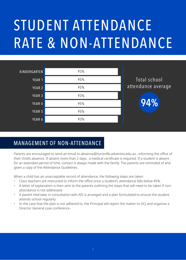# STUDENT ATTENDANCE RATE & NON-ATTENDANCE

| <b>KINDERGARTEN</b> | 93% |                    |
|---------------------|-----|--------------------|
| YEAR 1              | 95% | Total school       |
| YEAR 2              | 95% | attendance average |
| YEAR 3              | 93% |                    |
| YEAR 4              | 95% | 94%                |
| YEAR 5              | 95% |                    |
| YEAR 6              | 93% |                    |
|                     |     |                    |

## MANAGEMENT OF NON-ATTENDANCE

Parents are encouraged to send an email to absence@hurstville.adventist.edu.au , informing the office of their child's absence. If absent more than 2 days, a medical certificate is required. If a student is absent for an extended period of time, contact is always made with the family. The parents are reminded of and given a copy of the Attendance Guidelines.

When a child has an unacceptable record of attendance, the following steps are taken:

- Class teachers are instructed to inform the office once a student's attendance falls below 85%.
- A letter of explanation is then sent to the parents outlining the steps that will need to be taken if nonattendance is not addressed.
- A parent interview, in consultation with AIS is arranged and a plan formulated to ensure the student attends school regularly.
- In the case that the plan is not adhered to, the Principal will report the matter to DCJ and organise a Director General case conference.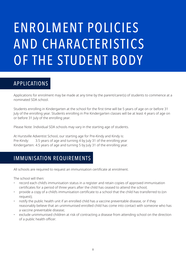# ENROLMENT POLICIES AND CHARACTERISTICS OF THE STUDENT BODY

## APPLICATIONS

Applications for enrolment may be made at any time by the parent/carer(s) of students to commence at a nominated SDA school.

Students enrolling in Kindergarten at the school for the first time will be 5 years of age on or before 31 July of the enrolling year. Students enrolling in Pre Kindergarten classes will be at least 4 years of age on or before 31 July of the enrolling year.

Please Note: Individual SDA schools may vary in the starting age of students.

At Hurstville Adventist School, our starting age for Pre-Kindy and Kindy is: Pre-Kindy: 3.5 years of age and turning 4 by July 31 of the enrolling year Kindergarten: 4.5 years of age and turning 5 by July 31 of the enrolling year.

### IMMUNISATION REQUIREMENTS

All schools are required to request an immunisation certificate at enrolment.

The school will then:

- record each child's immunisation status in a register and retain copies of approved immunisation certificates for a period of three years after the child has ceased to attend the school;
- provide a copy of a child's immunisation certificate to a school that the child has transferred to (on request);
- notify the public health unit if an enrolled child has a vaccine preventable disease, or if they reasonably believe that an unimmunised enrolled child has come into contact with someone who has a vaccine preventable disease;
- exclude unimmunised children at risk of contracting a disease from attending school on the direction of a public health officer.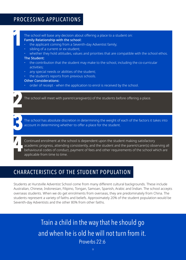## PROCESSING APPLICATIONS

The school will base any decision about offering a place to a student on: Family Relationship with the school: the applicant coming from a Seventh-day Adventist family; sibling of a current or ex-student; whether they hold attitudes, values and priorities that are compatible with the school ethos. The Student: • the contribution that the student may make to the school, including the co-curricular activities; any special needs or abilities of the student; the student's reports from previous schools. Other Considerations: order of receipt - when the application to enrol is received by the school. The school will meet with parent/caregiver(s) of the students before offering a place. The school has absolute discretion in determining the weight of each of the factors it takes into account in determining whether to offer a place for the student. Continued enrolment at the school is dependent upon the student making satisfactory academic progress, attending consistently, and the student and the parent/carer(s) observing all behavioural codes of conduct, payment of fees and other requirements of the school which are applicable from time to time.

### CHARACTERISTICS OF THE STUDENT POPULATION

Students at Hurstville Adventist School come from many different cultural backgrounds. These include Australian, Chinese, Indonesian, Filipino, Tongan, Samoan, Spanish, Arabic and Indian. The school accepts overseas students. When we do get enrolments from overseas, they are predominately from China. The students represent a variety of faiths and beliefs. Approximately 20% of the student population would be Seventh-day Adventists and the other 80% from other faiths.

> Train a child in the way that he should go and when he is old he will not turn from it.<br>Proverbs 22:6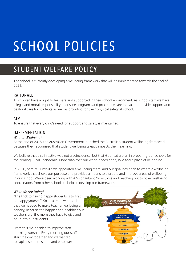# SCHOOL POLICIES

# STUDENT WELFARE POLICY

The school is currently developing a wellbeing framework that will be implemented towards the end of 2021.

#### **RATIONALE**

All children have a right to feel safe and supported in their school environment. As school staff, we have a legal and moral responsibility to ensure programs and procedures are in place to provide support and pastoral care for students as well as providing for their physical safety at school.

#### AIM

To ensure that every child's need for support and safety is maintained.

#### IMPLEMENTATION

#### *What is Wellbeing?*

At the end of 2018, the Australian Government launched the Australian student wellbeing framework because they recognised that student wellbeing greatly impacts their learning.

We believe that this initiative was not a coincidence, but that God had a plan in preparing our schools for the coming COVID pandemic. More than ever our world needs hope, love and a place of belonging.

In 2020, here at Hurstville we appointed a wellbeing team, and our goal has been to create a wellbeing framework that shows our purpose and provides a means to evaluate and improve areas of wellbeing in our school. We've been working with AIS consultant Nicky Sloss and reaching out to other wellbeing coordinators from other schools to help us develop our framework.

#### *What We Are Doing?*

"The trick to having happy students is to first be happy yourself." So as a team we decided that we needed to make teacher wellbeing a priority, because the happier and healthier our teachers are, the more they have to give and pour into our students.

From this, we decided to improve staff morning worship. Every morning our staff start the day together and we wanted to capitalise on this time and empower

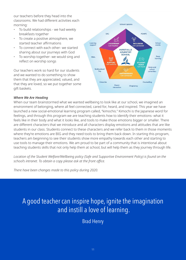our teachers before they head into the classrooms. We had different activities each morning:

- To build relationships we had weekly breakfasts together
- To create a positive atmosphere, we started teacher affirmations
- To connect with each other- we started sharing about our journeys with God
- To worship together- we would sing and reflect on worship songs

Our teachers work so hard for our students and we wanted to do something to show them that they are appreciated, valued, and that they are loved, so we put together some gift baskets.



#### *Where We Are Heading*

When our team brainstormed what we wanted wellbeing to look like at our school, we imagined an environment of belonging, where all feel connected, cared for, heard, and inspired. This year we have launched a new social-emotional learning program called, "kimochis." Kimochi is the Japanese word for feelings, and through this program we are teaching students how to identify their emotions- what it feels like in their body and what it looks like, and tools to make those emotions bigger or smaller. There are different characters that we introduce and all characters display emotions and attitudes that are like students in our class. Students connect to these characters and we refer back to them in those moments where they're emotions are BIG and they need tools to bring them back down. In starting this program, teachers am beginning to see their students show more empathy towards each other and starting to use tools to manage their emotions. We am proud to be part of a community that is intentional about teaching students skills that not only help them at school, but will help them as they journey through life.

*Location of the Student Welfare/Wellbeing policy (Safe and Supportive Environment Policy) is found on the school's intranet. To obtain a copy please ask at the front office.*

*There have been changes made to this policy during 2020.*

## A good teacher can inspire hope, ignite the imagination and instill a love of learning.

Brad Henry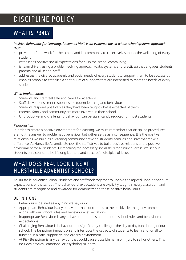## DISCIPLINE POLICY

## WHAT IS PB4L?

#### *Positive Behaviour for Learning, known as PB4L is an evidence-based whole school systems approach that:*

- provides a framework for the school and its community to collectively support the wellbeing of every student;
- establishes positive social expectations for all in the school community;
- is team driven, using a problem-solving approach (data, systems and practices) that engages students, parents and all school staff;
- addresses the diverse academic and social needs of every student to support them to be successful;
- enables schools to establish a continuum of supports that are intensified to meet the needs of every student.

#### *When implemented:*

- Students and staff feel safe and cared for at school
- Staff deliver consistent responses to student learning and behaviour
- Students respond positively as they have been taught what is expected of them
- Parents, family and community are more involved in their school
- Unproductive and challenging behaviour can be significantly reduced for most students

#### *Relationships:*

In order to create a positive environment for learning, we must remember that discipline procedures are not the answer to problematic behaviour but rather serve as a consequence. It is the positive relationships we build as a learning community between students, families and staff that make a difference. At Hurstville Adventist School, the staff strives to build positive relations and a positive environment for all students. By teaching the necessary social skills for future success, we set our students on a course to be lifelong learners and successful disciples of Jesus.

## WHAT DOES PB4L LOOK LIKE AT HURSTVILLE ADVENTIST SCHOOL?

At Hurstville Adventist School, students and staff work together to uphold the agreed upon behavioural expectations of the school. The behavioural expectations are explicitly taught in every classroom and students are recognised and rewarded for demonstrating these positive behaviours.

#### DEFINITIONS

- Behaviour is defined as anything we say or do.
- Appropriate Behaviour is any behaviour that contributes to the positive learning environment and aligns with our school rules and behavioural expectations.
- Inappropriate Behaviour is any behaviour that does not meet the school rules and behavioural expectations.
- Challenging Behaviour is behaviour that significantly challenges the day to day functioning of our school. The behaviour impacts on and interrupts the capacity of students to learn and for all to function in a safe, supportive and orderly environment.
- At Risk Behaviour is any behaviour that could cause possible harm or injury to self or others. This includes physical, emotional or psychological harm.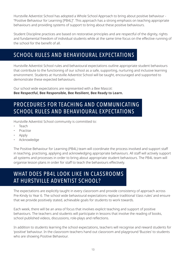Hurstville Adventist School has adopted a Whole School Approach to bring about positive behaviour - "Positive Behaviour for Learning [PB4L]". This approach has a strong emphasis on teaching appropriate behaviours and providing systems of support to bring about these positive behaviours.

Student Discipline practices are based on restorative principles and are respectful of the dignity, rights and fundamental freedom of individual students while at the same time focus on the effective running of the school for the benefit of all.

## SCHOOL RULES AND BEHAVIOURAL EXPECTATIONS

Hurstville Adventist School rules and behavioural expectations outline appropriate student behaviours that contribute to the functioning of our school as a safe, supporting, nurturing and inclusive learning environment. Students at Hurstville Adventist School will be taught, encouraged and supported to demonstrate these expected behaviours.

Our school wide expectations are represented with a Bee Mascot: **Bee Respectful, Bee Responsible, Bee Resilient, Bee Ready to Learn.**

## PROCEDURES FOR TEACHING AND COMMUNICATING SCHOOL RULES AND BEHAVIOURAL EXPECTATIONS

Hurstville Adventist School community is committed to:

- Teach
- **Practise**
- Apply
- Acknowledge

The Positive Behaviour for Learning (PB4L) team will coordinate the process involved and support staff in teaching, practising, applying and acknowledging appropriate behaviours. All staff will actively support all systems and processes in order to bring about appropriate student behaviours. The PB4L team will organise lesson plans in order for staff to teach the behaviours effectively.

## WHAT DOES PB4L LOOK LIKE IN CLASSROOMS AT HURSTVILLE ADVENTIST SCHOOL?

The expectations are explicitly taught in every classroom and provide consistency of approach across Pre-Kindy to Year 6. The school wide behavioural expectations replace traditional 'class rules' and ensure that we provide positively stated, achievable goals for students to work towards.

Each week, there will be an area of focus that involves explicit teaching and support of positive behaviours. The teachers and students will participate in lessons that involve the reading of books, school published videos, discussions, role-plays and reflections.

In addition to students learning the school expectations, teachers will recognise and reward students for 'positive' behaviour. In the classroom teachers hand out classroom and playground 'Buzzies' to students who are showing Positive Behaviour.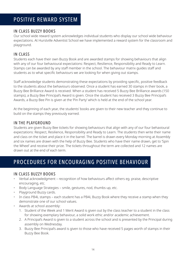### POSITIVE REWARD SYSTEM

#### IN CLASS BUZZY BOOKS

Our school wide reward system acknowledges individual students who display our school wide behaviour expectations. At Hurstville Adventist School we have implemented a reward system for the classroom and playground.

#### IN CLASS

Students each have their own Buzzy Book and are awarded stamps for showing behaviours that align with any of our four behavioural expectations: Respect, Resilience, Responsibility and Ready to Learn. Stamps can be awarded by any staff member in the school. The behaviour matrix guides staff and students as to what specific behaviours we are looking for when giving out stamps.

Staff acknowledge students demonstrating these expectations by providing specific, positive feedback to the students about the behaviours observed. Once a student has earned 30 stamps in their book, a Buzzy Bee Brilliance Award is received. When a student has received 5 Buzzy Bee Brilliance awards (150 stamps), a Buzzy Bee Principal's Award is given. Once the student has received 3 Buzzy Bee Principal's Awards, a Buzzy Bee Pin is given at the 'Pin Party' which is held at the end of the school year.

At the beginning of each year, the students' books are given to their new teacher and they continue to build on the stamps they previously earned.

#### IN THE PLAYGROUND

Students are given Buzzy Bee tickets for showing behaviours that align with any of our four behavioural expectations: Respect, Resilience, Responsibility and Ready to Learn. The students then write their name and class on the ticket and place it in the barrel. The barrel is drawn every Monday morning at Assembly and six names are drawn with the help of Buzzy Bee. Students who have their name drawn, get to 'Spin the Wheel' and receive their prize. The tickets throughout the term are collected and 12 names are drawn out at the end of each term.

### PROCEDURES FOR ENCOURAGING POSITIVE BEHAVIOUR

#### IN CLASS BUZZY BOOKS

- Verbal acknowledgment recognition of how behaviours affect others eg. praise, descriptive encouraging, etc.
- Body Language Strategies smile, gestures, nod, thumbs up, etc.
- Playground Buzzy cards.
- In class PB4L stamps each student has a PB4L Buzzy Book where they receive a stamp when they demonstrate one of our school values.
- Awards at school assembly:
	- 1. Student of the Week and 1 Merit Award is given out by the class teacher to a student in the class for showing exemplary behaviour, a solid work ethic and/or academic achievement.
	- 2. A Principal's Award is given to a student across the school and is presented by the Principal during assembly on Wednesday.
	- 3. Buzzy Bee Principal's award is given to those who have received 5 pages worth of stamps in their Buzzy Bee Book.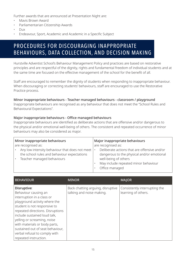Further awards that are announced at Presentation Night are:

- Mavis Brown Award
- Parliamentarian Citizenship Awards
- Dux
- Endeavour, Sport, Academic and Academic in a Specific Subject

## PROCEDURES FOR DISCOURAGING INAPPROPRIATE BEHAVIOURS, DATA COLLECTION, AND DECISION MAKING

Hurstville Adventist School's Behaviour Management Policy and practices are based on restorative principles and are respectful of the dignity, rights and fundamental freedom of individual students and at the same time are focused on the effective management of the school for the benefit of all.

Staff are encouraged to remember the dignity of students when responding to inappropriate behaviour. When discouraging or correcting students' behaviours, staff are encouraged to use the Restorative Practice process.

#### Minor inappropriate behaviours - Teacher managed behaviours - classroom / playground

Inappropriate behaviours are recognised as any behaviour that does not meet the "School Rules and Behavioural Expectations".

#### Major inappropriate behaviours - Office managed behaviours

Inappropriate behaviours are identified as deliberate actions that are offensive and/or dangerous to the physical and/or emotional well-being of others. The consistent and repeated occurrence of minor behaviours may also be considered as major.

| Minor inappropriate behaviours                                                                                              | Major inappropriate behaviours                                                                                                                                                            |
|-----------------------------------------------------------------------------------------------------------------------------|-------------------------------------------------------------------------------------------------------------------------------------------------------------------------------------------|
| are recognised as:                                                                                                          | are recognised as:                                                                                                                                                                        |
| Any low intensity behaviour that does not meet<br>the school rules and behaviour expectations<br>Teacher managed behaviours | Deliberate actions that are offensive and/or<br>$\bullet$<br>dangerous to the physical and/or emotional<br>well-being of others<br>May include repeated minor behaviour<br>Office managed |

| <b>BEHAVIOUR</b>                                                                                                                                                                                                                                                                                                                                                     | <b>MINOR</b>                                                   | <b>MAJOR</b>                                         |
|----------------------------------------------------------------------------------------------------------------------------------------------------------------------------------------------------------------------------------------------------------------------------------------------------------------------------------------------------------------------|----------------------------------------------------------------|------------------------------------------------------|
| Disruptive:<br>Behaviour causing an<br>interruption in a class or<br>playground activity where the<br>student is not responsive to<br>repeated directions. Disruptions<br>include sustained loud talk,<br>yelling or screaming, noise<br>with materials or body parts,<br>sustained out of seat behaviour,<br>verbal refusal to comply with<br>repeated instruction. | Back chatting arguing, disruptive<br>talking and noise making. | Consistently interrupting the<br>learning of others. |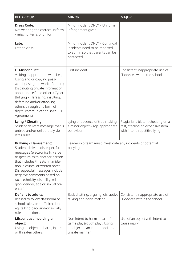| <b>BEHAVIOUR</b>                                                                                                                                                                                                                                                                                                                                                        | <b>MINOR</b>                                                                                                         | <b>MAJOR</b>                                                                                            |
|-------------------------------------------------------------------------------------------------------------------------------------------------------------------------------------------------------------------------------------------------------------------------------------------------------------------------------------------------------------------------|----------------------------------------------------------------------------------------------------------------------|---------------------------------------------------------------------------------------------------------|
| <b>Dress Code:</b><br>Not wearing the correct uniform<br>/ missing items of uniform.                                                                                                                                                                                                                                                                                    | Minor incident ONLY - Uniform<br>infringement given.                                                                 |                                                                                                         |
| Late:<br>Late to class                                                                                                                                                                                                                                                                                                                                                  | Minor incident ONLY - Continual<br>incidents need to be reported<br>to admin so that parents can be<br>contacted.    |                                                                                                         |
| IT Misconduct:<br>Visiting inappropriate websites;<br>Using and or copying pass-<br>words; Using the work of others;<br>Distributing private information<br>about oneself and others; Cyber-<br>Bullying - Harassing, insulting,<br>defaming and/or attacking<br>others through any form of<br>digital communication. (See ICT<br>Agreement)                            | First incident                                                                                                       | Consistent inappropriate use of<br>IT devices within the school.                                        |
| Lying / Cheating:<br>Student delivers message that is<br>untrue and/or deliberately vio-<br>lates rules.                                                                                                                                                                                                                                                                | Lying or absence of truth, taking<br>a minor object - age appropriate<br>behaviour                                   | Plagiarism, blatant cheating on a<br>test, stealing an expensive item<br>with intent, repetitive lying. |
| <b>Bullying / Harassment:</b><br>Student delivers disrespectful<br>messages (electronically, verbal<br>or gesturally) to another person<br>that includes threats, intimida-<br>tion, pictures, or written notes.<br>Disrespectful messages include<br>negative comments based on<br>race, ethnicity, disability, reli-<br>gion, gender, age or sexual ori-<br>entation. | Leadership team must investigate any incidents of potential<br>bullying.                                             |                                                                                                         |
| <b>Defiant to adults:</b><br>Refusal to follow classroom or<br>school rules, or staff directions<br>eg. talking back and/or socially<br>rule interactions.                                                                                                                                                                                                              | Back chatting, arguing, disruptive<br>talking and noise making.                                                      | Consistent inappropriate use of<br>IT devices within the school.                                        |
| Misconduct involving an<br>object:<br>Using an object to harm, injure<br>or threaten others.                                                                                                                                                                                                                                                                            | Non-intent to harm - part of<br>game play (rough play). Using<br>an object in an inap-propriate or<br>unsafe manner. | Use of an object with intent to<br>cause injury.                                                        |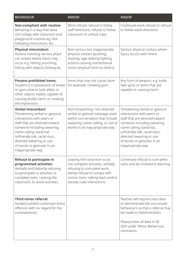| <b>BEHAVIOUR</b>                                                                                                                                                                                                                                                                                        | <b>MINOR</b>                                                                                                                                                                                          | <b>MAJOR</b>                                                                                                                                                                                                                                                               |
|---------------------------------------------------------------------------------------------------------------------------------------------------------------------------------------------------------------------------------------------------------------------------------------------------------|-------------------------------------------------------------------------------------------------------------------------------------------------------------------------------------------------------|----------------------------------------------------------------------------------------------------------------------------------------------------------------------------------------------------------------------------------------------------------------------------|
| Non-compliant with routine:<br>Behaving in a way that does<br>not comply with classroom and<br>playground routines eg. Not<br>following instructions, etc.                                                                                                                                              | Work refusal, refusal to follow<br>staff directions, refusal to follow<br>classroom or school rules.                                                                                                  | Continued work refusal or refusal<br>to follow adult directions.                                                                                                                                                                                                           |
| <b>Physical misconduct:</b><br>Actions involving serious physi-<br>cal contact where injury may<br>occur e.g. hitting, punching,<br>hitting with objects, kicking etc                                                                                                                                   | Non-serious but inappropriate<br>physical contact (pushing,<br>shoving, age-relating fighting<br>actions causing unintentional<br>minor physical harm to others)                                      | Serious physical contact where<br>injury occurs with intent.                                                                                                                                                                                                               |
| <b>Possess prohibited items:</b><br>Student is in possession of knives<br>or guns (real or look alike), or<br>other objects readily capable of<br>causing bodily harm, or creating<br>the impression.                                                                                                   | Items that may not cause harm<br>for example: chewing gum.                                                                                                                                            | Any form of weapon, e.g. knife,<br>fake guns or items that are<br>capable or causing harm.                                                                                                                                                                                 |
| <b>Verbal misconduct:</b><br>Threatening verbal or gestural<br>interactions with peers or<br>staff that are directed toward<br>someone including swearing,<br>name calling, backchat,<br>unfriendly talk, racial slurs,<br>directed swearing or use<br>of words or gestures in an<br>inappropriate way. | Non-threatening, non-directed<br>verbal or gesture message used<br>within con-versation that include<br>swearing, name calling, or use of<br>words in an inap-propriate way.                          | Threatening verbal or gestural<br>interactions with peers or<br>staff that are directed toward<br>someone including swearing,<br>name calling, backchat,<br>unfriendly talk, racial slurs,<br>directed swearing or use<br>of words or gestures in an<br>inappropriate way. |
| Refusal to participate in<br>programmed activities:<br>Verbally and blatantly refusing<br>to participate in activities or<br>complete tasks. Leaving the<br>classroom, to avoid activities.                                                                                                             | Leaving the classroom so as<br>not complete activities, verbally<br>refusing to com-plete work;<br>Verbal refusal to comply with<br>instruc-tions, talking back and/or<br>socially rude interactions. | Continued refusal to com-plete<br>tasks and be involved in learning.                                                                                                                                                                                                       |
| Third minor referral:<br>Student exhibits continued minor<br>offences with no regard for the<br>consequences                                                                                                                                                                                            |                                                                                                                                                                                                       | Teacher will require class data<br>to demonstrate the con-tinued<br>behaviours so that a referral may<br>be made to Administration.<br>Please enter all data in SE-<br>QTA under 'Minor Behav-iour<br>comments                                                             |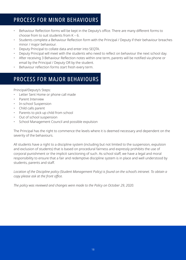## PROCESS FOR MINOR BEHAVIOURS

- Behaviour Reflection forms will be kept in the Deputy's office. There are many different forms to choose from to suit students from K – 6.
- Students complete a Behaviour Reflection form with the Principal / Deputy if their behaviour breaches minor / major behaviour.
- Deputy Principal to collate data and enter into SEQTA.
- Deputy Principal will meet with the students who need to reflect on behaviour the next school day.
- After receiving 3 Behaviour Reflection notes within one term, parents will be notified via phone or email by the Principal / Deputy OR by the student.
- Behaviour reflection forms start fresh every term.

## PROCESS FOR MAJOR BEHAVIOURS

Principal/Deputy's Steps:

- Letter Sent Home or phone call made
- Parent Interview
- In-school Suspension
- Child calls parent
- Parents to pick up child from school
- Out of school suspension
- School Management Council and possible expulsion

The Principal has the right to commence the levels where it is deemed necessary and dependent on the severity of the behaviours.

All students have a right to a discipline system (including but not limited to the suspension, expulsion and exclusion of students) that is based on procedural fairness and expressly prohibits the use of corporal punishment or the implicit sanctioning of such. As school staff, we have a legal and moral responsibility to ensure that a fair and redemptive discipline system is in place and well understood by students, parents and staff.

*Location of the Discipline policy (Student Management Policy) is found on the school's intranet. To obtain a copy please ask at the front office.*

*The policy was reviewed and changes were made to the Policy on October 29, 2020.*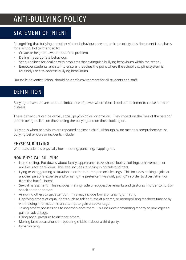## ANTI-BULLYING POLICY

### STATEMENT OF INTENT

Recognising that bullying and other violent behaviours are endemic to society, this document is the basis for a school Policy intended to:

- Create or heighten awareness of the problem.
- Define inappropriate behaviour.
- Set guidelines for dealing with problems that extinguish bullying behaviours within the school.
- Empower students and staff to ensure it reaches the point where the school discipline system is routinely used to address bullying behaviours.

Hurstville Adventist School should be a safe environment for all students and staff.

## DEFINITION

Bullying behaviours are about an imbalance of power where there is deliberate intent to cause harm or distress.

These behaviours can be verbal, social, psychological or physical. They impact on the lives of the person/ people being bullied, on those doing the bullying and on those looking on.

Bullying is when behaviours are repeated against a child. Although by no means a comprehensive list, bullying behaviours or incidents include:

#### PHYSICAL BULLYING

Where a student is physically hurt – kicking, punching, slapping etc.

#### NON-PHYSICAL BULLYING

- Name-calling, 'Put downs' about family, appearance (size, shape, looks, clothing), achievements or abilities, race or religion. This also includes laughing in ridicule of others.
- Lying or exaggerating a situation in order to hurt a person's feelings. This includes making a joke at another person's expense and/or using the pretence "I was only joking!" in order to divert attention from the hurtful intent.
- Sexual harassment: This includes making rude or suggestive remarks and gestures in order to hurt or shock another person.
- Annoying others to get attention. This may include forms of teasing or flirting
- Depriving others of equal rights such as taking turns at a game, or monopolising teacher's time or by withholding information in an attempt to gain an advantage.
- Taking others' possessions to inconvenience them. This includes demanding money or privileges to gain an advantage.
- Using social pressure to distance others.
- Making false accusations or repeating criticism about a third party.
- Cyberbullying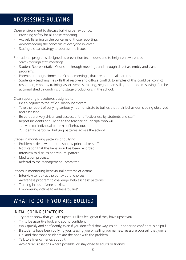## ADDRESSING BULLYING

Open environment to discuss bullying behaviour by:

- Providing safety for all those reporting.
- Actively listening to the concerns of those reporting.
- Acknowledging the concerns of everyone involved.
- Stating a clear strategy to address the issue.

Educational programs designed as prevention techniques and to heighten awareness:

- Staff through staff meetings.
- Student Representative Council through meetings and through direct assembly and class programs.
- Parents through Home and School meetings, that are open to all parents.
- Students teaching life skills that resolve and diffuse conflict. Examples of this could be: conflict resolution, empathy training, assertiveness training, negotiation skills, and problem solving. Can be accomplished through visiting stage productions in the school.

Clear reporting procedures designed to:

- Be an adjunct to the official discipline system.
- Take the report of bullying seriously demonstrate to bullies that their behaviour is being observed and assessed.
- Be co-operatively driven and assessed for effectiveness by students and staff.
- Report incidents of bullying to the teacher or Principal who will
	- 1. Monitor individual patterns of behaviour.
	- 2. Identify particular bullying patterns across the school.

Stages in monitoring patterns of bullying:

- Problem is dealt with on the spot by principal or staff.
- Notification that the behaviour has been recorded.
- Interview to discuss behavioural pattern.
- Meditation process.
- Referral to the Management Committee.

Stages in monitoring behavioural patterns of victims:

- Interview to look at the behavioural choices.
- Awareness program to challenge 'helplessness' patterns.
- Training in assertiveness skills.
- Empowering victims to address 'bullies'.

### WHAT TO DO IF YOU ARE BULLIED

#### INITIAL COPING STRATEGIES

- Try not to show that you are upset. Bullies feel great if they have upset you.
- Try to be assertive look and sound confident.
- Walk quickly and confidently, even if you don't feel that way inside appearing confident is helpful.
- If students have been bullying you, teasing you or calling you names, reassure yourself that you're OK, and that those students are the ones with the problem.
- Talk to a friend/friends about it.
- Avoid "risk" situations where possible, or stay close to adults or friends.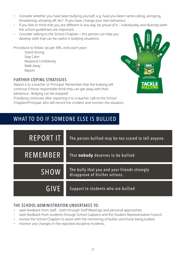- Consider whether you have been bullying yourself, e.g. have you been name-calling, annoying, threatening, showing off, etc? If you have, change your own behaviour.
- If you feel or think that you are different in any way, be proud of it individuality and diversity (with the school guidelines) are important.
- Consider talking to the School Chaplain this person can help you develop skills that can be useful in bullying situations.

Procedure to follow: (as per NRL visits each year)

Stand Strong Stay Calm Respond Confidently Walk Away Report

#### FURTHER COPING STRATEGIES

Report it to a teacher or Principal: Remember that the bullying will continue if those responsible think they can get away with their behaviour. Bullying can be stopped!

If bullying continues after reporting it to a teacher, talk to the School Chaplain/Principal, who will record the incident and monitor the situation.

### WHAT TO DO IF SOMEONE ELSE IS BULLIED



#### THE SCHOOL ADMINISTRATION UNDERTAKES TO:

- seek feedback from staff both through Staff Meetings and personal approaches.
- seek feedback from students through School Captains and the Student Representative Council.
- involve the School Chaplain to assist with the mentoring of bullies and those being bullied.
- monitor any changes in the reported discipline incidents.

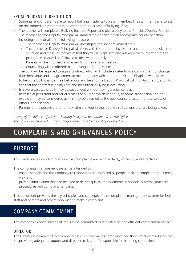#### FROM INCIDENT TO RESOLUTION:

- Students and/or parents are to report bullying incidents to a staff member. The staff member is to act on this immediately to determine whether this is a case of bullying. If so;
- The teacher will complete a Bullying Incident Report and give a copy to the Principal/Deputy Principal.
- The teacher and/or Deputy Principal will immediately decide on an appropriate course of action, including some or all of the following measures:
	- The teacher or Deputy Principal will investigate the incident immediately.
	- The teacher or Deputy Principal will meet with the students involved in an attempt to resolve the situation and reassure the victim that they will be kept safe and will keep them informed of the procedures that will be followed to deal with the bully.
	- Parents will be informed and asked to come in for a meeting.
	- Counselling will be offered to, or arranged, for the victim.
- The bully will be required to sign a contract, which will include a detention, a commitment to change their behaviour and an agreement to meet regularly with a mentor – School Chaplain who will work to help the bully change their behaviour and he and the Deputy Principal will monitor the situation to see that the contract is being kept and no further bullying is occurring.
- In severe cases, the bully may be suspended without having a prior contract.
- In cases of persistent and serious cases of bullying which continue, at-home suspension and/or expulsion may be considered as this may be deemed as the best course of action for the safety of others in the school.
- Parents of the perpetrator and the victim are kept in-the-loop with all actions that are being taken.

*A copy of the full text of the Anti-Bullying Policy can be obtained from the Office. The policy was reviewed but no changes were made to the Policy during 2020.*

## COMPLAINTS AND GRIEVANCES POLICY

## PURPOSE

This Guideline is intended to ensure that complaints are handled fairly, efficiently and effectively.

The complaints management system is intended to:

- enable schools and the Company to respond to issues raised by people making complaints in a timely way; and
- provide information that can be used to deliver quality improvements in schools, systems, practices, procedures and complaint handling.

This document provides the key principles and concepts of the complaints management system for both staff and parents and others who wish to make a complaint.

## COMPANY COMMITMENT

The company expects staff at all levels to be committed to fair, effective and efficient complaint handling.

#### DIRECTOR

The Director is committed to promoting a culture that values complaints and their effective resolution by:

• providing adequate support and direction to key staff responsible for handling complaints;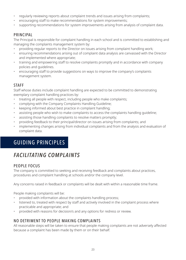- regularly reviewing reports about complaint trends and issues arising from complaints;
- encouraging staff to make recommendations for system improvements;
- supporting recommendations for system improvements arising from analysis of complaint data.

#### PRINCIPAL

The Principal is responsible for complaint handling in each school and is committed to establishing and managing the complaints management system by:

- providing regular reports to the Director on issues arising from complaint handling work;
- ensuring recommendations arising out of complaint data analysis are canvassed with the Director and implemented where appropriate;
- training and empowering staff to resolve complaints promptly and in accordance with company policies and guidelines.
- encouraging staff to provide suggestions on ways to improve the company's complaints management system.

#### STAFF

Staff whose duties include complaint handling are expected to be committed to demonstrating exemplary complaint handling practices by:

- treating all people with respect, including people who make complaints;
- complying with the Company Complaints Handling Guideline;
- keeping informed about best practice in complaint handling;
- assisting people who wish to make complaints to access the complaints handling guideline;
- assisting those handling complaints to resolve matters promptly;
- providing feedback to their principal/director on issues arising from complaints; and
- implementing changes arising from individual complaints and from the analysis and evaluation of complaint data.

## GUIDING PRINCIPLES

## *FACILITATING COMPLAINTS*

#### PEOPLE FOCUS

The company is committed to seeking and receiving feedback and complaints about practices, procedures and complaint handling at schools and/or the company level.

Any concerns raised in feedback or complaints will be dealt with within a reasonable time frame.

People making complaints will be:

- provided with information about the complaints handling process;
- listened to, treated with respect by staff and actively involved in the complaint process where practicable and appropriate; and
- provided with reasons for decision/s and any options for redress or review.

#### NO DETRIMENT TO PEOPLE MAKING COMPLAINTS

All reasonable steps will be taken to ensure that people making complaints are not adversely affected because a complaint has been made by them or on their behalf.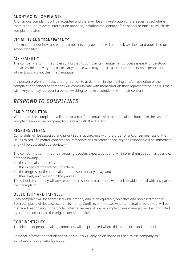#### ANONYMOUS COMPLAINTS

Anonymous complaints will be accepted and there will be an investigation of the issues raised where there is enough relevant information provided, including the identity of the school or office to which the complaint relates.

#### VISIBILITY AND TRANSPARENCY

Information about how and where complaints may be made will be readily available and publicised on school websites.

#### ACCESSIBILITY

The company is committed to ensuring that its complaints management process is easily understood and accessible to everyone, particularly people who may require assistance, for example, people for whom English is not their first language.

If a person prefers or needs another person to assist them in the making and/or resolution of their complaint, the school or company will communicate with them through their representative if this is their wish. Anyone may represent a person wishing to make a complaint, with their consent.

## *RESPOND TO COMPLAINTS*

#### EARLY RESOLUTION

Where possible, complaints will be resolved at first contact with the particular school or, in the case of complaints about the company, first contact with the director.

#### RESPONSIVENESS

Complaints will be assessed and prioritised in accordance with the urgency and/or seriousness of the issues raised. If a matter concerns an immediate risk to safety or security the response will be immediate and will be escalated appropriately.

The company is committed to managing people's expectations and will inform them as soon as possible, of the following:

- the complaints process;
- the expected time frames for actions;
- the progress of the complaint and reasons for any delay; and
- their likely involvement in the process.

The school or company will advise people as soon as practicable when it is unable to deal with any part of their complaint.

#### OBJECTIVITY AND FAIRNESS

Each complaint will be addressed with integrity and in an equitable, objective and unbiased manner. Each complaint will be assessed on its merits. Conflicts of interests, whether actual or perceived, will be managed responsibly. In particular, internal reviews of how a complaint was managed will be conducted by a person other than the original decision maker.

#### CONFIDENTIALITY

The identity of people making complaints will be protected where this is practical and appropriate.

Personal information that identifies individuals will only be disclosed or used by the company as permitted under privacy legislation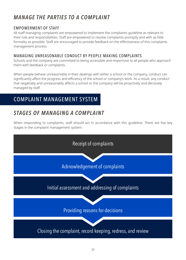## *MANAGE THE PARTIES TO A COMPLAINT*

#### EMPOWERMENT OF STAFF

All staff managing complaints are empowered to implement the complaints guideline as relevant to their role and responsibilities. Staff are empowered to resolve complaints promptly and with as little formality as possible. Staff are encouraged to provide feedback on the effectiveness of this complaints management process.

#### MANAGING UNREASONABLE CONDUCT BY PEOPLE MAKING COMPLAINTS

Schools and the company are committed to being accessible and responsive to all people who approach them with feedback or complaints.

When people behave unreasonably in their dealings with either a school or the company, conduct can significantly affect the progress and efficiency of the school or company's work. As a result, any conduct that negatively and unreasonably affects a school or the company will be proactively and decisively managed by staff.

## COMPLAINT MANAGEMENT SYSTEM

## *STAGES OF MANAGING A COMPLAINT*

When responding to complaints, staff should act in accordance with this guideline. There are five key stages in the complaint management system:

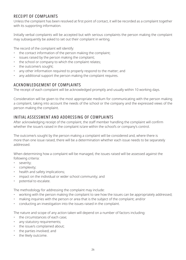#### RECEIPT OF COMPLAINTS

Unless the complaint has been resolved at first point of contact, it will be recorded as a complaint together with its supporting information.

Initially verbal complaints will be accepted but with serious complaints the person making the complaint may subsequently be asked to set out their complaint in writing.

The record of the complaint will identify:

- the contact information of the person making the complaint;
- issues raised by the person making the complaint;
- the school or company to which the complaint relates;
- the outcome/s sought;
- any other information required to properly respond to the matter; and
- any additional support the person making the complaint requires.

#### ACKNOWLEDGEMENT OF COMPLAINTS

The receipt of each complaint will be acknowledged promptly and usually within 10 working days.

Consideration will be given to the most appropriate medium for communicating with the person making a complaint, taking into account the needs of the school or the company and the expressed views of the person making the complaint.

#### INITIAL ASSESSMENT AND ADDRESSING OF COMPLAINTS

After acknowledging receipt of the complaint, the staff member handling the complaint will confirm whether the issue/s raised in the complaint is/are within the school's or company's control.

The outcome/s sought by the person making a complaint will be considered and, where there is more than one issue raised, there will be a determination whether each issue needs to be separately addressed.

When determining how a complaint will be managed, the issues raised will be assessed against the following criteria:

- severity;
- complexity;
- health and safety implications;
- impact on the individual or wider school community; and
- potential to escalate.

The methodology for addressing the complaint may include:

- working with the person making the complaint to see how the issues can be appropriately addressed;
- making inquiries with the person or area that is the subject of the complaint; and/or
- conducting an investigation into the issues raised in the complaint.

The nature and scope of any action taken will depend on a number of factors including:

- the circumstances of each case;
- any statutory requirements;
- the issue/s complained about;
- the parties involved; and
- the likely outcome.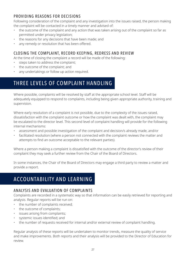#### PROVIDING REASONS FOR DECISIONS

Following consideration of the complaint and any investigation into the issues raised, the person making the complaint will be contacted in a timely manner and advised of:

- the outcome of the complaint and any action that was taken arising out of the complaint so far as permitted under privacy legislation;
- the reasons for any decisions that have been made; and
- any remedy or resolution that has been offered.

#### CLOSING THE COMPLAINT, RECORD KEEPING, REDRESS AND REVIEW

At the time of closing the complaint a record will be made of the following:

- steps taken to address the complaint;
- the outcome of the complaint; and
- any undertakings or follow up action required.

## THREE LEVELS OF COMPLAINT HANDLING

Where possible, complaints will be resolved by staff at the appropriate school level. Staff will be adequately equipped to respond to complaints, including being given appropriate authority, training and supervision.

Where early resolution of a complaint is not possible, due to the complexity of the issues raised, dissatisfaction with the complaint outcome or how the complaint was dealt with, the complaint may be escalated to the director level. This second level of complaint handling will provide for the following internal mechanisms:

- assessment and possible investigation of the complaint and decision/s already made, and/or
- facilitated resolution (where a person not connected with the complaint reviews the matter and attempts to find an outcome acceptable to the relevant parties).

Where a person making a complaint is dissatisfied with the outcome of the director's review of their complaint they may seek a further review from the Chair of the Board of Directors.

In some instances, the Chair of the Board of Directors may engage a third party to review a matter and provide a report.

## ACCOUNTABILITY AND LEARNING

#### ANALYSIS AND EVALUATION OF COMPLAINTS

Complaints are recorded in a systematic way so that information can be easily retrieved for reporting and analysis. Regular reports will be run on:

- the number of complaints received;
- the outcome of complaints;
- issues arising from complaints;
- systemic issues identified; and
- the number of requests received for internal and/or external review of complaint handling.

Regular analysis of these reports will be undertaken to monitor trends, measure the quality of service and make improvements. Both reports and their analysis will be provided to the Director of Education for review.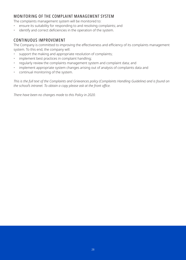#### MONITORING OF THE COMPLAINT MANAGEMENT SYSTEM

The complaints management system will be monitored to:

- ensure its suitability for responding to and resolving complaints; and
- identify and correct deficiencies in the operation of the system.

#### CONTINUOUS IMPROVEMENT

The Company is committed to improving the effectiveness and efficiency of its complaints management system. To this end, the company will:

- support the making and appropriate resolution of complaints;
- implement best practices in complaint handling;
- regularly review the complaints management system and complaint data; and
- implement appropriate system changes arising out of analysis of complaints data and
- continual monitoring of the system.

*This is the full text of the Complaints and Grievances policy (Complaints Handling Guideline) and is found on the school's intranet. To obtain a copy please ask at the front office.*

*There have been no changes made to this Policy in 2020.*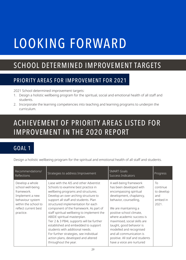# LOOKING FORWARD

## SCHOOL DETERMINED IMPROVEMENT TARGETS

## PRIORITY AREAS FOR IMPROVEMENT FOR 2021

2021 School determined improvement targets:

- 1. Design a holistic wellbeing program for the spiritual, social and emotional health of all staff and students.
- 2. Incorporate the learning competencies into teaching and learning programs to underpin the curriculum.

# ACHIEVEMENT OF PRIORITY AREAS LISTED FOR IMPROVEMENT IN THE 2020 REPORT

## GOAL 1

Design a holistic wellbeing program for the spiritual and emotional health of all staff and students.

| Recommendations/<br><b>Reflections</b>                                                                                                                 | Strategies to address Improvement                                                                                                                                                                                                                                                                                                                                                                                                                                                                                                                                                               | <b>SMART Goals</b><br><b>Success Indicators</b>                                                                                                                                                                                                                                                                                                                                                       | Progress                                                 |
|--------------------------------------------------------------------------------------------------------------------------------------------------------|-------------------------------------------------------------------------------------------------------------------------------------------------------------------------------------------------------------------------------------------------------------------------------------------------------------------------------------------------------------------------------------------------------------------------------------------------------------------------------------------------------------------------------------------------------------------------------------------------|-------------------------------------------------------------------------------------------------------------------------------------------------------------------------------------------------------------------------------------------------------------------------------------------------------------------------------------------------------------------------------------------------------|----------------------------------------------------------|
| Develop a whole<br>school well-being<br>framework.<br>Implement a new<br>behaviour system<br>within the school to<br>reflect current best<br>practice. | Liase with the AIS and other Adventist<br>Schools to examine best practice in<br>wellbeing programs and structures.<br>Develop an over-arching structure to<br>support all staff and students. Plan<br>structured implementation for each<br>component of the framework. As part of<br>staff spiritual wellbeing to implement the<br>ABIDE spiritual masterplan.<br>Tier 2 & 3 PB4L supports will be further<br>established and embedded to support<br>students with additional needs.<br>For further strategies, see individual<br>action plans, developed and altered<br>throughout the year. | A well-being framework<br>has been developed with<br>encompassing spiritual<br>development, chaplaincy,<br>behavior, counselling,<br>We are maintaining a<br>positive school climate,<br>where academic success is<br>maximised, social skills are<br>taught, good behavior is<br>modelled and recognised<br>and all communication is<br>positive. All staf and students<br>have a voice are nurtured | To<br>continue<br>to develop<br>and<br>embed in<br>2021. |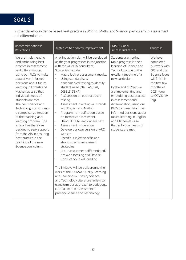## GOAL 2

Further develop evidence based best practice in Writing, Maths and Science, particularly in assessment and differentiation.

| Recommendations/<br><b>Reflections</b>                                                                                                                                                                                                                                                                                                                                                                                                                                                                                                                    | Strategies to address Improvement                                                                                                                                                                                                                                                                                                                                                                                                                                                                                                                                                                                                                                                                                                                                                                                                                                                                                                                                                                                                                                                                                                                                              | <b>SMART Goals</b><br><b>Success Indicators</b>                                                                                                                                                                                                                                                                                                                                                                                               | Progress                                                                                                                                                     |
|-----------------------------------------------------------------------------------------------------------------------------------------------------------------------------------------------------------------------------------------------------------------------------------------------------------------------------------------------------------------------------------------------------------------------------------------------------------------------------------------------------------------------------------------------------------|--------------------------------------------------------------------------------------------------------------------------------------------------------------------------------------------------------------------------------------------------------------------------------------------------------------------------------------------------------------------------------------------------------------------------------------------------------------------------------------------------------------------------------------------------------------------------------------------------------------------------------------------------------------------------------------------------------------------------------------------------------------------------------------------------------------------------------------------------------------------------------------------------------------------------------------------------------------------------------------------------------------------------------------------------------------------------------------------------------------------------------------------------------------------------------|-----------------------------------------------------------------------------------------------------------------------------------------------------------------------------------------------------------------------------------------------------------------------------------------------------------------------------------------------------------------------------------------------------------------------------------------------|--------------------------------------------------------------------------------------------------------------------------------------------------------------|
| We are implementing<br>and embedding best<br>practice in assessment<br>and differentiation,<br>using our PLC's to make<br>data driven informed<br>decisions about future<br>learning in English and<br>Mathematics so that<br>individual needs of<br>students are met.<br>The new Science and<br>Technology curriculum is<br>a compulsory alteration<br>to the teaching and<br>learning program. The<br>school has therefore<br>decided to seek support<br>from the AIS in ensuring<br>best practice in the<br>teaching of the new<br>Science curriculum. | A rolling action plan will be developed<br>as the year progresses in conjunction<br>with the AISNSW consultant.<br>Strategies include:<br>Macro look at assessment results.<br>$\bullet$<br>Using standardised/<br>$\bullet$<br>benchmarked testing to identify<br>student need (NAPLAN, PAT,<br>DIBELS, SENA)<br>PLC session on each of above<br>$\bullet$<br>testing<br>$\bullet$<br>Assessment in writing (all strands<br>with English and Maths)<br>Programme modification based<br>$\bullet$<br>on formative assessment<br>Using PLC's to learn where next<br>$\bullet$<br>Assessment moderation<br>$\bullet$<br>Develop our own version of ARC<br>$\bullet$<br>website<br>Specific, subject specific and<br>$\bullet$<br>strand specific assessment<br>strategies<br>Is our assessment differentiated?<br>$\bullet$<br>Are we assessing at all levels?<br>Consistency in A-E grading<br>$\bullet$<br>The initiative will be built around the<br>work of the AISNSW Quality Learning<br>and Teaching in Primary Science<br>and Technology Literature review, to<br>transform our approach to pedagogy,<br>curriculum and assessment in<br>primary Science and Technology. | Students are making<br>rapid progress in their<br>learning of Science and<br>Technology due to the<br>excellent teaching of a<br>new curriculum.<br>By the end of 2020 we<br>are implementing and<br>embedding best practice<br>in assessment and<br>differentiation, using our<br>PLC's to make data driven<br>informed decisions about<br>future learning in English<br>and Mathematics so<br>that individual needs of<br>students are met. | We have<br>completed<br>our work with<br>'SIS' and the<br>Science focus<br>will finish in<br>the first few<br>months of<br>2021 (due<br>to COVID-19<br>lag). |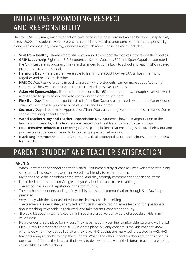# INITIATIVES PROMOTING RESPECT AND RESPONSIBILITY

Due to COVID-19, many initiatives that we have done in the past were not able to be done. Despite this, across 2020, the students were involved in several initiatives that promoted respect and responsibility, along with compassion, empathy, kindness and much more. These initiatives included:

- **• Visit from Healthy Harold** where students learned to respect themselves, others and their bodies.
- **• GRIP Leadership**: Eight Year 5 & 6 students School Captains, SRC and Sport Captains attended the GRIP Leadership program. They are challenged to come back to school and lead in SRC initiated programs across the school.
- **• Harmony Day;** where children were able to learn more about how we CAN all live in harmony together and respect each other.
- **• NAIDOC** Activities were done in each classroom where students learned more about Aboriginal culture and how we can best work together towards positive outcomes.
- **• Asian Aid Sponsorships:** The students sponsored five (5) students in India, through Asian Aid, which allows them to go to school and also contributes to clothing for them.
- **• Pink Bun Day:** The students participated in Pink Bun Day and all proceeds went to the Caner Council. Students were able to purchase buns at recess and lunchtime.
- **• Secretary Day:** classes make Appreciation/Thank You cards and gave them to the secretaries. Some sang a little song or said a poem.
- **• World Teacher's Day and Teacher Appreciation Day:** Students show their appreciation to the teachers on these days. The teachers are treated to a Breakfast organised by the Principal.
- **• PB4L (Positive Behaviour 4 Learning):** A discipline platform that encourages positive behaviour and positive consequences while explicitly teaching expected behaviours.
- **• Black Dog Institute:** School sold Ice Creams with all different flavours and colours and raised \$550 for Black Dog.

# PARENT, STUDENT AND TEACHER SATISFACTION

#### PARENTS

- When I first rang the school and then visited, I felt immediately at ease as I was welcomed with a big smile and all my questions were answered in a friendly tone and manner.
- My friends have their children at the school and they strongly recommended the school to me.
- I searched up the school on Google and your school has an excellent ranking.
- The school has a good reputation in the community.
- The teachers are understanding of my child's needs and communication through See Saw is appreciated.
- Very happy with the standard of education that my child is receiving.
- The teachers are dedicated, energised, enthusiastic, encouraging, make learning fun, passionate about teaching, take pride in their work and take parents' concerns seriously.
- It would be good if teachers could minimise the disruptive behaviours of a couple of kids in my child's class.
- It's a wonderful safe place for my son. They have made my son feel comfortable, safe and well loved.
- I feel Hurstville Adventist School (HAS) is a safe place. My only concern is the kids may not know what to do when they get bullied after they leave HAS as they are really well protected in HAS. HAS teachers always standby to help the students. What if the other school teachers are not as good as our teachers? I hope the kids can find a way to deal with that even if their future teachers are not as responsible as HAS teachers.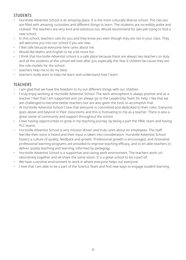#### **STUDENTS**

- Hurstville Adventist School is an amazing place. It is the most culturally diverse school. The clas-ses are filled with amazing curiosities and different things to learn. The students are incredibly polite and civilised. The teachers are very kind and solicitous too. Would recommend for peo-ple trying to find a new school.
- In this school, teachers care for you and they know you even though they are not in your class. They will welcome you into our school if you are new.
- I feel safe because everyone here cares about me.
- Would like Maths and English to be a bit more fun.
- I think that Hurstville Adventist school is a safe place because there are always two teachers on duty and all the students at this school will look after you especially the Year 6 children be-cause they are the role models for the school.
- teachers help me to do my best.
- teachers really want to help me learn and understand how I learn.

#### **TEACHERS**

- I am glad that we have the freedom to try out different things with our children.
- I truly enjoy working at Hurstville Adventist School. The work atmosphere is always positive and as a teacher I feel that I am supported and can always go to the Leadership Team for help. I like that we are challenged to become better teachers but are also given the tools to accomplish that.
- At Hurstville Adventist School I love that everyone is committed and dedicated to their roles. Everyone goes above and beyond in their classrooms and this is motivating to me as a teacher. There is also a great sense of community and support throughout the school.
- I love having opportunities to grow in my teaching journey, by being a part the PB4L team and having PLC teams.
- Hurstville Adventist School is very mission driven and truly cares about its' employees. The staff feel like their voice is heard and their input is taken into consideration. Hurstville Adventist School fosters a culture of quality, feedback and growth. Professional growth is encouraged, and innovative professional learning programs are provided to improve teaching efficacy, and to en-able teachers to deliver quality teaching and learning, informed by pedagogy.
- Hurstville Adventist School is a supportive and caring work environment. The teachers work collaboratively together and all share the same vision. It is a great school to be a part of!
- We have a positive environment to work in where everyone helps out everyone.
- I love that I am able to be a part of the Science Team and find new ways to engage student learning.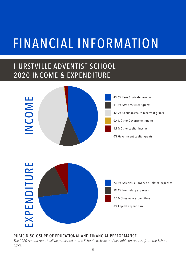# FINANCIAL INFORMATION

## HURSTVILLE ADVENTIST SCHOOL 2020 INCOME & EXPENDITURE





#### PUBIC DISCLOSURE OF EDUCATIONAL AND FINANCIAL PERFORMANCE

*The 2020 Annual report will be published on the School's website and available on request from the School office.*